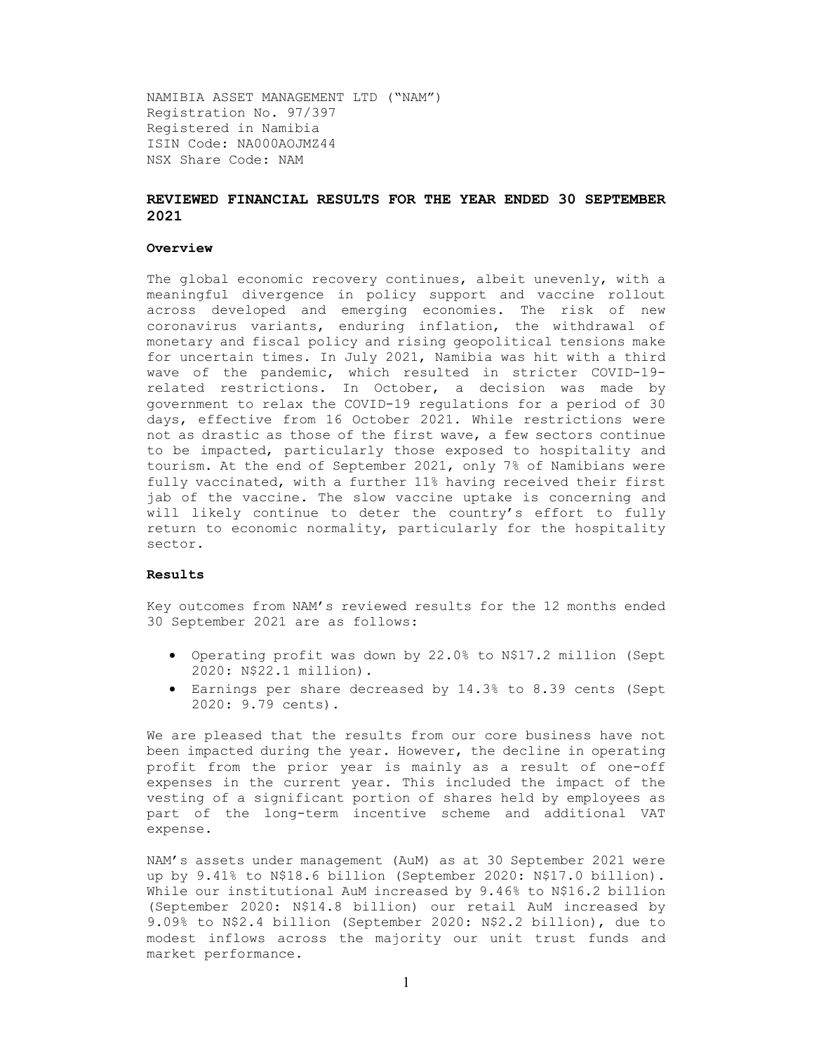NAMIBIA ASSET MANAGEMENT LTD ("NAM") Registration No. 97/397 Registered in Namibia ISIN Code: NA000AOJMZ44 NSX Share Code: NAM

# REVIEWED FINANCIAL RESULTS FOR THE YEAR ENDED 30 SEPTEMBER 2021

### Overview

The global economic recovery continues, albeit unevenly, with a meaningful divergence in policy support and vaccine rollout across developed and emerging economies. The risk of new coronavirus variants, enduring inflation, the withdrawal of monetary and fiscal policy and rising geopolitical tensions make for uncertain times. In July 2021, Namibia was hit with a third wave of the pandemic, which resulted in stricter COVID-19 related restrictions. In October, a decision was made by government to relax the COVID-19 regulations for a period of 30 days, effective from 16 October 2021. While restrictions were not as drastic as those of the first wave, a few sectors continue to be impacted, particularly those exposed to hospitality and tourism. At the end of September 2021, only 7% of Namibians were fully vaccinated, with a further 11% having received their first jab of the vaccine. The slow vaccine uptake is concerning and will likely continue to deter the country's effort to fully return to economic normality, particularly for the hospitality sector.

#### Results

Key outcomes from NAM's reviewed results for the 12 months ended 30 September 2021 are as follows:

- Operating profit was down by 22.0% to N\$17.2 million (Sept 2020: N\$22.1 million).
- Earnings per share decreased by 14.3% to 8.39 cents (Sept 2020: 9.79 cents).

We are pleased that the results from our core business have not been impacted during the year. However, the decline in operating profit from the prior year is mainly as a result of one-off expenses in the current year. This included the impact of the vesting of a significant portion of shares held by employees as part of the long-term incentive scheme and additional VAT expense.

NAM's assets under management (AuM) as at 30 September 2021 were up by 9.41% to N\$18.6 billion (September 2020: N\$17.0 billion). While our institutional AuM increased by 9.46% to N\$16.2 billion (September 2020: N\$14.8 billion) our retail AuM increased by 9.09% to N\$2.4 billion (September 2020: N\$2.2 billion), due to modest inflows across the majority our unit trust funds and market performance.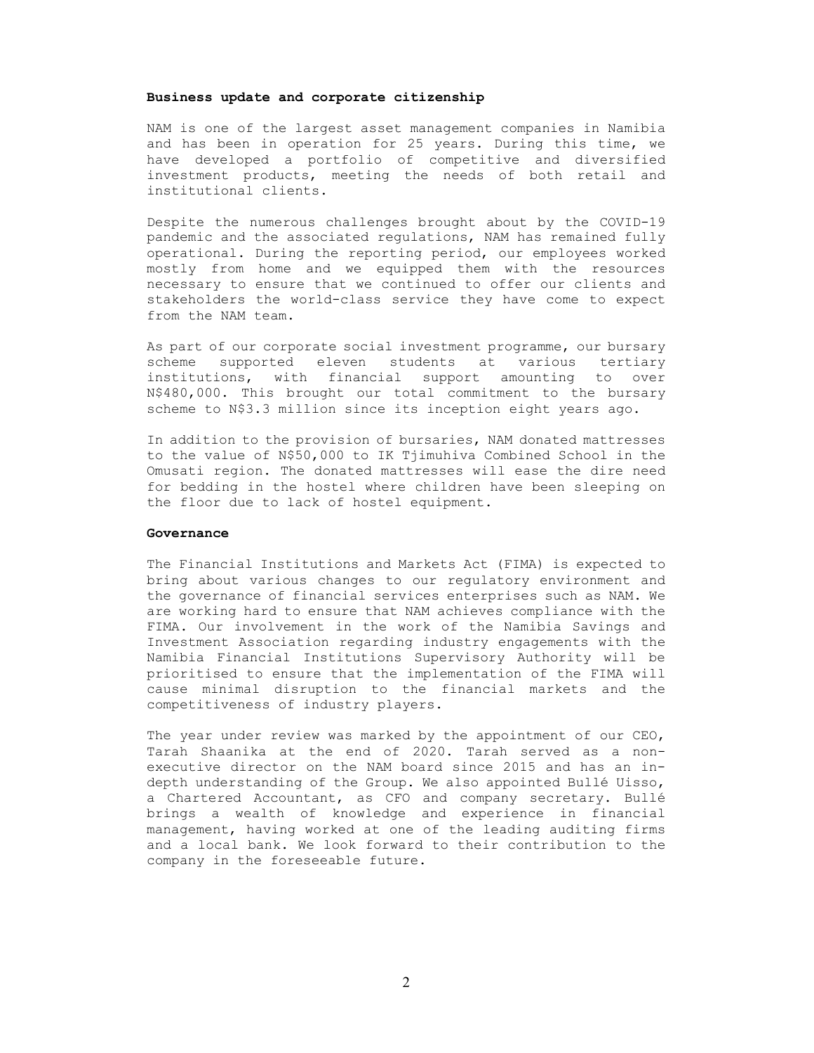### Business update and corporate citizenship

NAM is one of the largest asset management companies in Namibia and has been in operation for 25 years. During this time, we have developed a portfolio of competitive and diversified investment products, meeting the needs of both retail and institutional clients.

Despite the numerous challenges brought about by the COVID-19 pandemic and the associated regulations, NAM has remained fully operational. During the reporting period, our employees worked mostly from home and we equipped them with the resources necessary to ensure that we continued to offer our clients and stakeholders the world-class service they have come to expect from the NAM team.

As part of our corporate social investment programme, our bursary scheme supported eleven students at various tertiary institutions, with financial support amounting to over N\$480,000. This brought our total commitment to the bursary scheme to N\$3.3 million since its inception eight years ago.

In addition to the provision of bursaries, NAM donated mattresses to the value of N\$50,000 to IK Tjimuhiva Combined School in the Omusati region. The donated mattresses will ease the dire need for bedding in the hostel where children have been sleeping on the floor due to lack of hostel equipment.

### Governance

The Financial Institutions and Markets Act (FIMA) is expected to bring about various changes to our regulatory environment and the governance of financial services enterprises such as NAM. We are working hard to ensure that NAM achieves compliance with the FIMA. Our involvement in the work of the Namibia Savings and Investment Association regarding industry engagements with the Namibia Financial Institutions Supervisory Authority will be prioritised to ensure that the implementation of the FIMA will cause minimal disruption to the financial markets and the competitiveness of industry players.

The year under review was marked by the appointment of our CEO, Tarah Shaanika at the end of 2020. Tarah served as a nonexecutive director on the NAM board since 2015 and has an indepth understanding of the Group. We also appointed Bullé Uisso, a Chartered Accountant, as CFO and company secretary. Bullé brings a wealth of knowledge and experience in financial management, having worked at one of the leading auditing firms and a local bank. We look forward to their contribution to the company in the foreseeable future.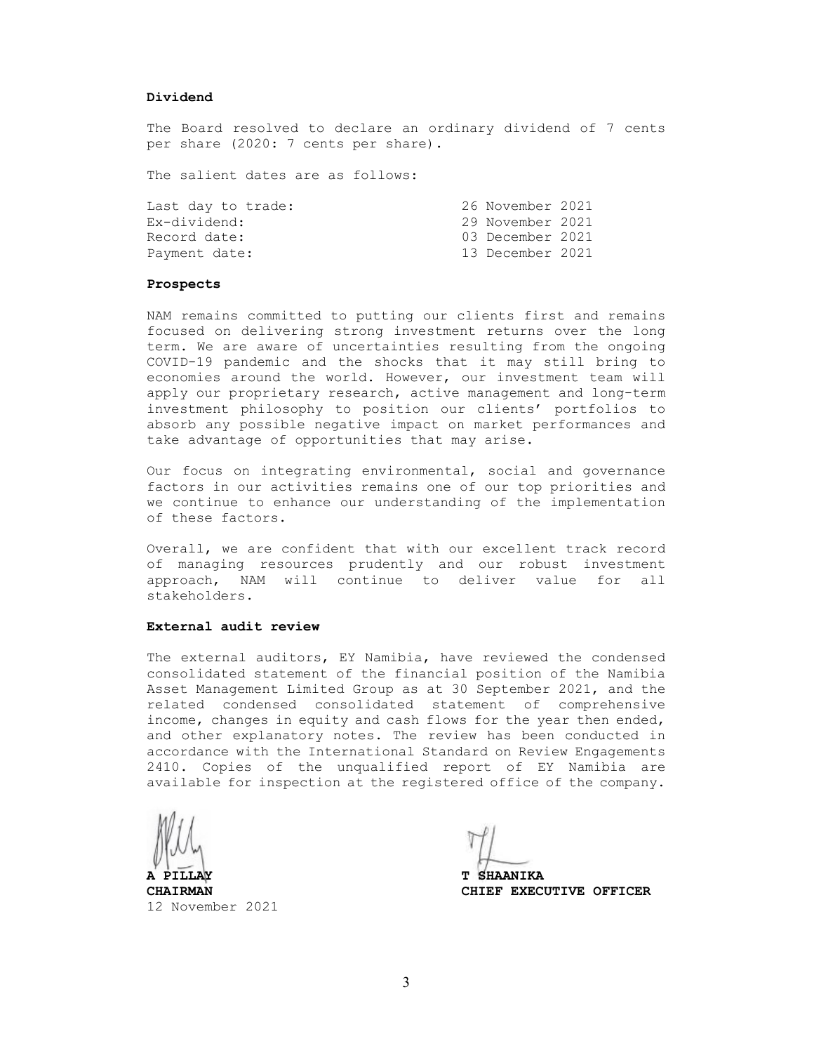#### Dividend

The Board resolved to declare an ordinary dividend of 7 cents per share (2020: 7 cents per share).

The salient dates are as follows:

| Last day to trade: | 26 November 2021 |  |
|--------------------|------------------|--|
| Ex-dividend:       | 29 November 2021 |  |
| Record date:       | 03 December 2021 |  |
| Payment date:      | 13 December 2021 |  |

### Prospects

NAM remains committed to putting our clients first and remains focused on delivering strong investment returns over the long term. We are aware of uncertainties resulting from the ongoing COVID-19 pandemic and the shocks that it may still bring to economies around the world. However, our investment team will apply our proprietary research, active management and long-term investment philosophy to position our clients' portfolios to absorb any possible negative impact on market performances and take advantage of opportunities that may arise.

Our focus on integrating environmental, social and governance factors in our activities remains one of our top priorities and we continue to enhance our understanding of the implementation of these factors.

Overall, we are confident that with our excellent track record of managing resources prudently and our robust investment approach, NAM will continue to deliver value for all stakeholders.

#### External audit review

The external auditors, EY Namibia, have reviewed the condensed consolidated statement of the financial position of the Namibia Asset Management Limited Group as at 30 September 2021, and the related condensed consolidated statement of comprehensive income, changes in equity and cash flows for the year then ended, and other explanatory notes. The review has been conducted in accordance with the International Standard on Review Engagements 2410. Copies of the unqualified report of EY Namibia are available for inspection at the registered office of the company.

12 November 2021

**T SHAANIKA** 

CHAIRMAN CHIEF EXECUTIVE OFFICER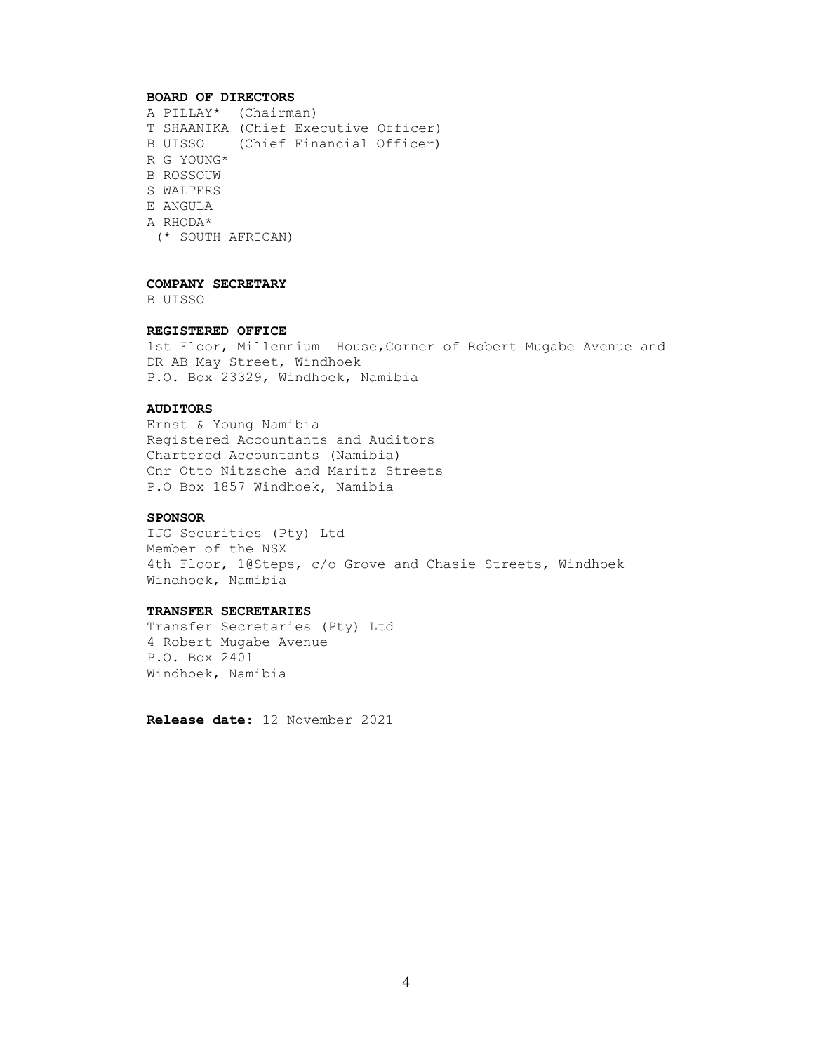### BOARD OF DIRECTORS

A PILLAY\* (Chairman) T SHAANIKA (Chief Executive Officer) B UISSO (Chief Financial Officer) R G YOUNG\* B ROSSOUW S WALTERS E ANGULA A RHODA\* (\* SOUTH AFRICAN)

### COMPANY SECRETARY

B UISSO

## REGISTERED OFFICE

1st Floor, Millennium House,Corner of Robert Mugabe Avenue and DR AB May Street, Windhoek P.O. Box 23329, Windhoek, Namibia

# AUDITORS

Ernst & Young Namibia Registered Accountants and Auditors Chartered Accountants (Namibia) Cnr Otto Nitzsche and Maritz Streets P.O Box 1857 Windhoek, Namibia

## SPONSOR

IJG Securities (Pty) Ltd Member of the NSX 4th Floor, 1@Steps, c/o Grove and Chasie Streets, Windhoek Windhoek, Namibia

### TRANSFER SECRETARIES

Transfer Secretaries (Pty) Ltd 4 Robert Mugabe Avenue P.O. Box 2401 Windhoek, Namibia

Release date: 12 November 2021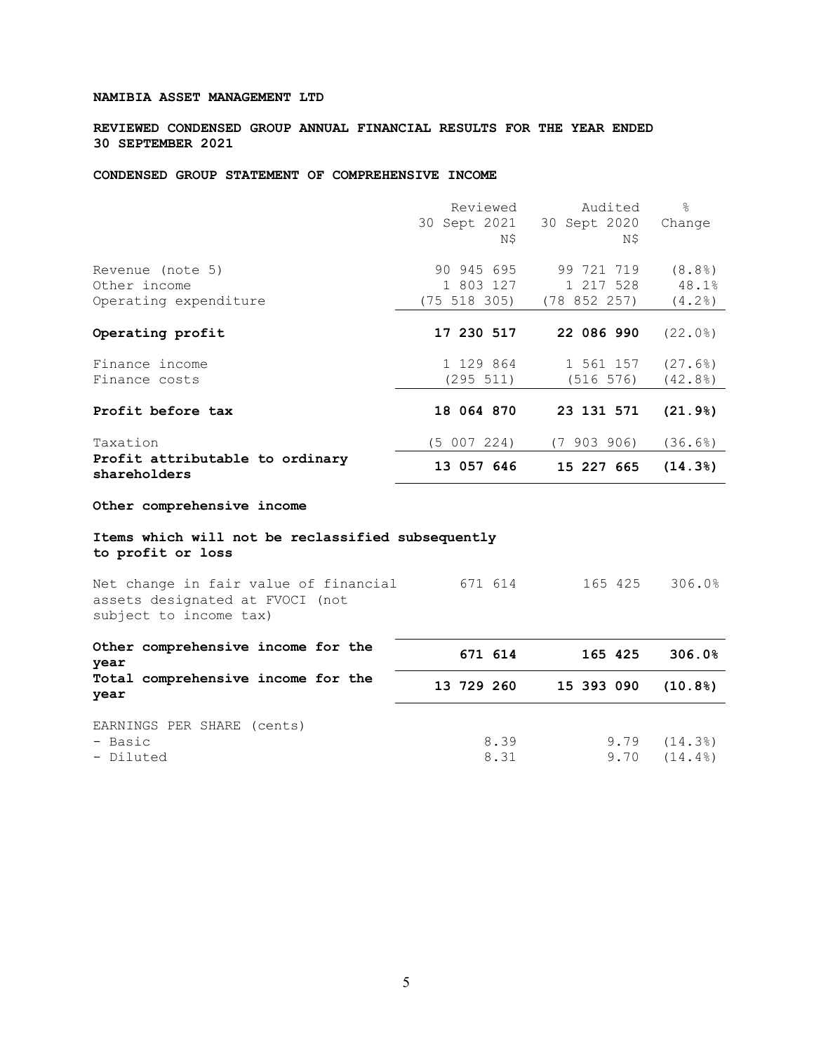REVIEWED CONDENSED GROUP ANNUAL FINANCIAL RESULTS FOR THE YEAR ENDED 30 SEPTEMBER 2021

# CONDENSED GROUP STATEMENT OF COMPREHENSIVE INCOME

|                                                 | Reviewed         | Audited      | $\frac{6}{2}$ |
|-------------------------------------------------|------------------|--------------|---------------|
|                                                 | 30 Sept 2021     | 30 Sept 2020 | Change        |
|                                                 | N\$              | N\$          |               |
| Revenue (note 5)                                | 90 945 695       | 99 721 719   | (8.8)         |
| Other income                                    | 1 803 127        | 1 217 528    | 48.1%         |
| Operating expenditure                           | $(75\ 518\ 305)$ | (78852257)   | $(4.2$ $)$    |
|                                                 |                  |              |               |
| Operating profit                                | 17 230 517       | 22 086 990   | (22.0)        |
| Finance income                                  | 1 129 864        | 1 561 157    | (27.6)        |
| Finance costs                                   | (295 511)        | (516 576)    | (42.8)        |
|                                                 |                  |              |               |
| Profit before tax                               | 18 064 870       | 23 131 571   | (21.9)        |
| Taxation                                        | (5 007 224)      | (7903906)    | (36.6)        |
| Profit attributable to ordinary<br>shareholders | 13 057 646       | 15 227 665   | (14.3)        |
| $A + b$                                         |                  |              |               |

#### Other comprehensive income

# Items which will not be reclassified subsequently to profit or loss

| Net change in fair value of financial | 671 614 | 165 425 | 306.0% |
|---------------------------------------|---------|---------|--------|
| assets designated at FVOCI (not       |         |         |        |
| subject to income tax)                |         |         |        |
|                                       |         |         |        |

| Other comprehensive income for the<br>year         | 671 614      | 165 425      | 306.0%           |
|----------------------------------------------------|--------------|--------------|------------------|
| Total comprehensive income for the<br>year         | 13 729 260   | 15 393 090   | (10.8)           |
| EARNINGS PER SHARE (cents)<br>- Basic<br>- Diluted | 8.39<br>8.31 | 9.79<br>9.70 | (14.3)<br>(14.4) |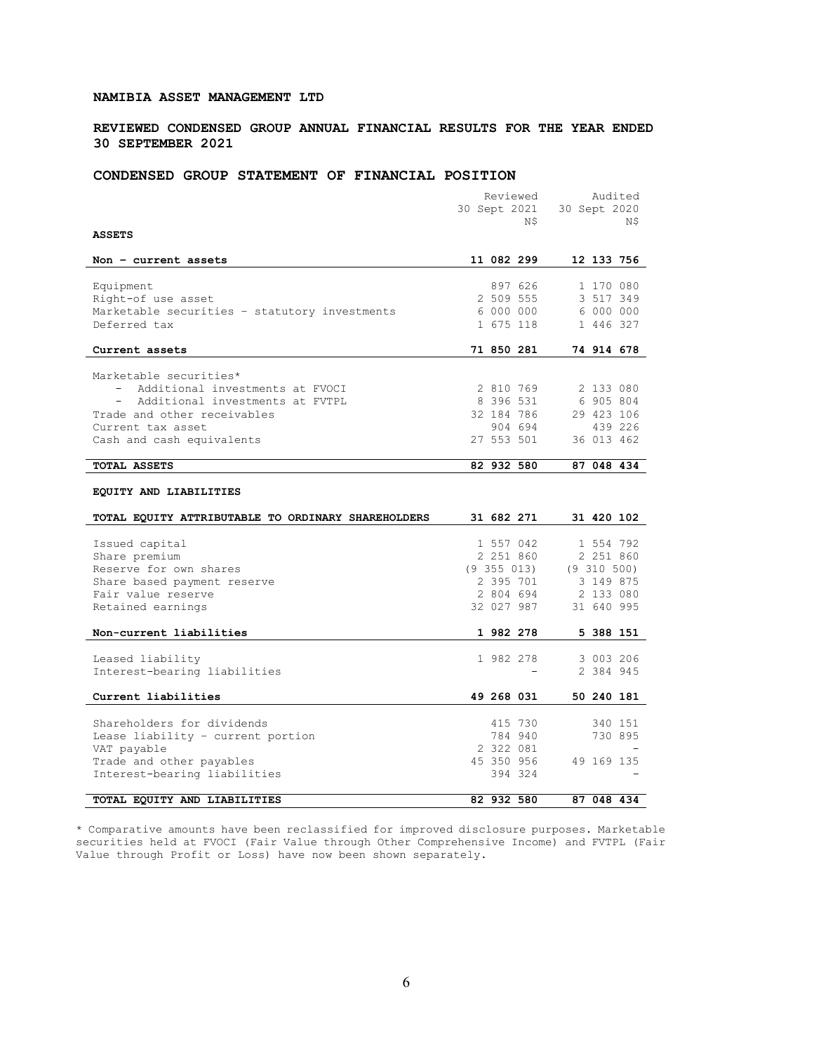REVIEWED CONDENSED GROUP ANNUAL FINANCIAL RESULTS FOR THE YEAR ENDED 30 SEPTEMBER 2021

# CONDENSED GROUP STATEMENT OF FINANCIAL POSITION

|                                                    | Reviewed        | Audited         |
|----------------------------------------------------|-----------------|-----------------|
|                                                    | 30 Sept 2021    | 30 Sept 2020    |
|                                                    | N\$             | N\$             |
| <b>ASSETS</b>                                      |                 |                 |
|                                                    |                 |                 |
| Non - current assets                               | 11 082 299      | 12 133 756      |
|                                                    |                 |                 |
| Equipment                                          | 897 626         | 1 170 080       |
| Right-of use asset                                 | 2 509 555       | 3 517 349       |
| Marketable securities - statutory investments      | 6 000 000       | 6 000 000       |
| Deferred tax                                       | 1 675 118       | 1 446 327       |
|                                                    |                 |                 |
| Current assets                                     | 71 850 281      | 74 914 678      |
| Marketable securities*                             |                 |                 |
| Additional investments at FVOCI                    | 2 810 769       | 2 133 080       |
| Additional investments at FVTPL<br>$\sim$          | 8 396 531       | 6 905 804       |
| Trade and other receivables                        | 32 184 786      | 29 423 106      |
| Current tax asset                                  | 904 694         | 439 226         |
| Cash and cash equivalents                          | 27 553 501      | 36 013 462      |
|                                                    |                 |                 |
| TOTAL ASSETS                                       | 82 932 580      | 87 048 434      |
|                                                    |                 |                 |
| EQUITY AND LIABILITIES                             |                 |                 |
|                                                    |                 |                 |
| TOTAL EQUITY ATTRIBUTABLE TO ORDINARY SHAREHOLDERS | 31 682 271      | 31 420 102      |
|                                                    |                 |                 |
| Issued capital                                     | 1 557 042       | 1 554 792       |
| Share premium                                      | 2 251 860       | 2 251 860       |
| Reserve for own shares                             | $(9\;355\;013)$ | $(9\;310\;500)$ |
| Share based payment reserve                        | 2 395 701       | 3 149 875       |
| Fair value reserve                                 | 2 804 694       | 2 133 080       |
| Retained earnings                                  | 32 027 987      | 31 640 995      |
|                                                    |                 |                 |
| Non-current liabilities                            | 1 982 278       | 5 388 151       |
| Leased liability                                   | 1 982 278       | 3 003 206       |
| Interest-bearing liabilities                       |                 | 2 384 945       |
|                                                    |                 |                 |
| Current liabilities                                | 49 268 031      | 50 240 181      |
|                                                    |                 |                 |
| Shareholders for dividends                         | 415 730         | 340 151         |
| Lease liability - current portion                  | 784 940         | 730 895         |
| VAT payable                                        | 2 322 081       |                 |
| Trade and other payables                           | 45 350 956      | 49 169 135      |
| Interest-bearing liabilities                       | 394 324         |                 |
|                                                    |                 |                 |
| TOTAL EQUITY AND LIABILITIES                       | 82 932 580      | 87 048 434      |

\* Comparative amounts have been reclassified for improved disclosure purposes. Marketable securities held at FVOCI (Fair Value through Other Comprehensive Income) and FVTPL (Fair Value through Profit or Loss) have now been shown separately.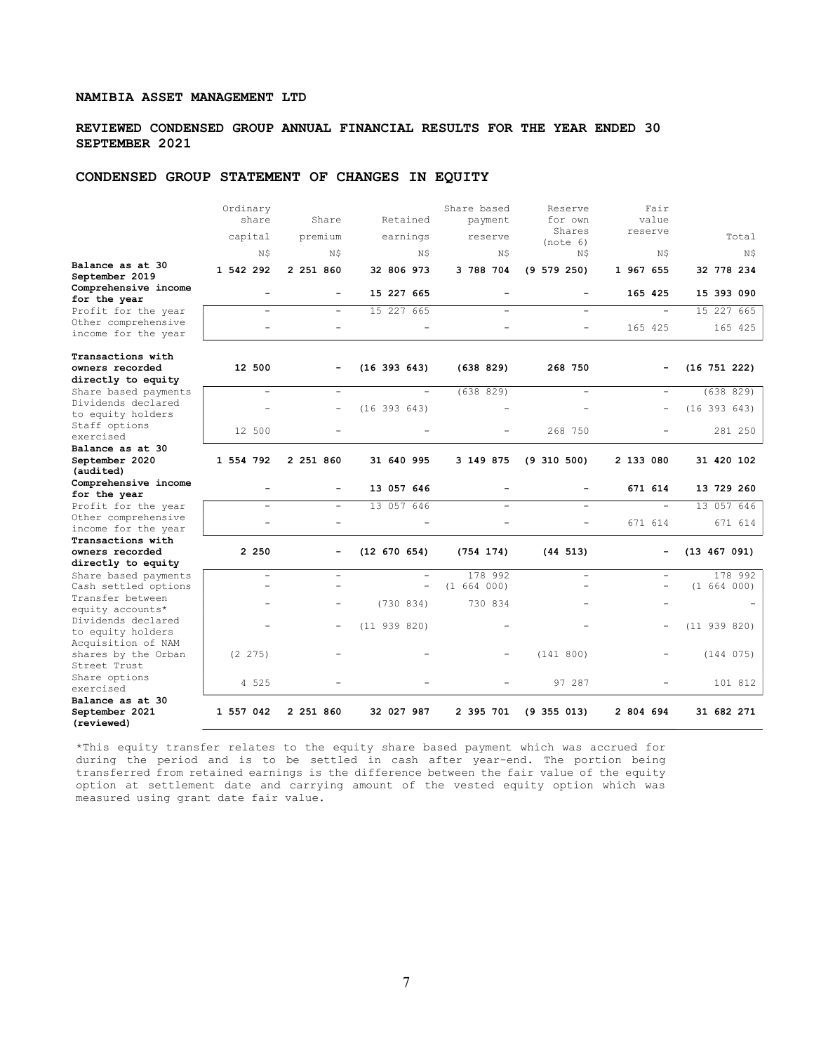## REVIEWED CONDENSED GROUP ANNUAL FINANCIAL RESULTS FOR THE YEAR ENDED 30 SEPTEMBER 2021

# CONDENSED GROUP STATEMENT OF CHANGES IN EQUITY

|                                                  | Ordinary<br>share        | Share                    | Retained                 | Share based<br>payment   | Reserve<br>for own                         | Fair<br>value            |                          |
|--------------------------------------------------|--------------------------|--------------------------|--------------------------|--------------------------|--------------------------------------------|--------------------------|--------------------------|
|                                                  | capital                  | premium                  | earnings                 | reserve                  | Shares<br>(note 6)                         | reserve                  | Total                    |
|                                                  | N\$                      | N\$                      | N\$                      | N\$                      | N\$                                        | N\$                      | N\$                      |
| Balance as at 30<br>September 2019               | 1 542 292                | 2 251 860                | 32 806 973               | 3 788 704                | (9 579 250)                                | 1 967 655                | 32 778 234               |
| Comprehensive income<br>for the year             | ۳                        |                          | 15 227 665               | ۳                        | $\overline{\phantom{a}}$                   | 165 425                  | 15 393 090               |
| Profit for the year                              |                          | $\overline{a}$           | 15 227 665               | $\overline{\phantom{0}}$ |                                            |                          | 15 227 665               |
| Other comprehensive<br>income for the year       |                          |                          | $\overline{\phantom{0}}$ |                          | $\overline{\phantom{0}}$                   | 165 425                  | 165 425                  |
| Transactions with                                |                          |                          |                          |                          |                                            |                          |                          |
| owners recorded                                  | 12 500                   |                          | $(16\ 393\ 643)$         | (638 829)                | 268 750                                    |                          | $(16\ 751\ 222)$         |
| directly to equity                               |                          |                          |                          |                          |                                            |                          |                          |
| Share based payments                             | $\overline{\phantom{a}}$ | $\equiv$                 |                          | (638829)                 | $\overline{\phantom{0}}$                   | $\overline{\phantom{a}}$ | (638829)                 |
| Dividends declared<br>to equity holders          | $\overline{\phantom{a}}$ | $\overline{\phantom{a}}$ | (16 393 643)             |                          |                                            | $\qquad \qquad -$        | $(16\ 393\ 643)$         |
| Staff options<br>exercised                       | 12 500                   |                          |                          |                          | 268 750                                    |                          | 281 250                  |
| Balance as at 30                                 |                          |                          |                          |                          |                                            |                          |                          |
| September 2020                                   | 1 554 792                | 2 251 860                | 31 640 995               | 3 149 875                | (9 310 500)                                | 2 133 080                | 31 420 102               |
| (audited)<br>Comprehensive income                |                          |                          |                          |                          |                                            |                          |                          |
| for the year                                     |                          |                          | 13 057 646               |                          |                                            | 671 614                  | 13 729 260               |
| Profit for the year                              | $\equiv$                 |                          | 13 057 646               |                          |                                            |                          | 13 057 646               |
| Other comprehensive                              |                          |                          |                          |                          |                                            |                          | 671 614                  |
| income for the year                              |                          |                          |                          |                          |                                            | 671 614                  |                          |
| Transactions with                                |                          |                          |                          |                          |                                            |                          |                          |
| owners recorded                                  | 2 250                    |                          | (12 670 654)             | (754 174)                | (44 513)                                   | -                        | (13 467 091)             |
| directly to equity                               | $\overline{\phantom{0}}$ |                          |                          | 178 992                  |                                            |                          |                          |
| Share based payments<br>Cash settled options     | $\overline{a}$           |                          | $\overline{\phantom{0}}$ | (1 664 000)              | $\overline{\phantom{0}}$<br>$\overline{a}$ | $\overline{\phantom{a}}$ | 178 992<br>(1, 664, 000) |
| Transfer between<br>equity accounts*             |                          |                          | (730834)                 | 730 834                  |                                            |                          |                          |
| Dividends declared<br>to equity holders          |                          |                          | (11 939 820)             |                          |                                            | $\overline{\phantom{0}}$ | (11 939 820)             |
| Acquisition of NAM<br>shares by the Orban        | (2 275)                  |                          |                          |                          | (141 800)                                  |                          | (144 075)                |
| Street Trust<br>Share options<br>exercised       | 4 525                    |                          |                          |                          | 97 287                                     |                          | 101 812                  |
| Balance as at 30<br>September 2021<br>(reviewed) | 1 557 042                | 2 251 860                | 32 027 987               | 2 395 701                | $(9\;355\;013)$                            | 2 804 694                | 31 682 271               |

\*This equity transfer relates to the equity share based payment which was accrued for during the period and is to be settled in cash after year-end. The portion being transferred from retained earnings is the difference between the fair value of the equity option at settlement date and carrying amount of the vested equity option which was measured using grant date fair value.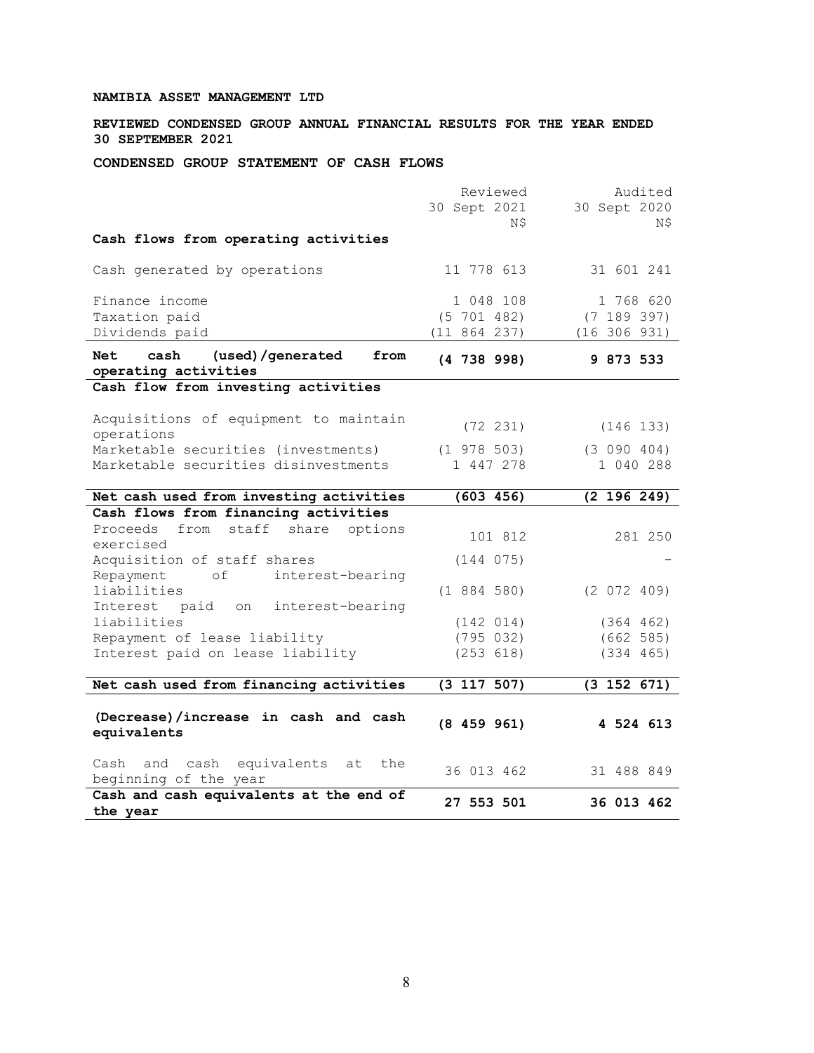REVIEWED CONDENSED GROUP ANNUAL FINANCIAL RESULTS FOR THE YEAR ENDED 30 SEPTEMBER 2021

CONDENSED GROUP STATEMENT OF CASH FLOWS

|                                                                        | Reviewed            | Audited             |
|------------------------------------------------------------------------|---------------------|---------------------|
|                                                                        | 30 Sept 2021<br>N\$ | 30 Sept 2020<br>N\$ |
| Cash flows from operating activities                                   |                     |                     |
| Cash generated by operations                                           | 11 778 613          | 31 601 241          |
| Finance income                                                         | 1 048 108           | 1 768 620           |
| Taxation paid                                                          | $(5\ 701\ 482)$     | (7 189 397)         |
| Dividends paid                                                         | (11 864 237)        | (16 306 931)        |
| cash<br>(used)/generated<br><b>Net</b><br>from<br>operating activities | (4738998)           | 9 873 533           |
| Cash flow from investing activities                                    |                     |                     |
| Acquisitions of equipment to maintain<br>operations                    | $(72 \t231)$        | (146 133)           |
| Marketable securities (investments)                                    | $(1\ \ 978\ \ 503)$ | (3 090 404)         |
| Marketable securities disinvestments                                   | 1 447 278           | 1 040 288           |
| Net cash used from investing activities                                | (603 456)           | (2 196 249)         |
| Cash flows from financing activities                                   |                     |                     |
| Proceeds<br>from<br>staff<br>share options<br>exercised                | 101 812             | 281 250             |
| Acquisition of staff shares                                            | (144 075)           |                     |
| Repayment<br>interest-bearing<br>оf                                    |                     |                     |
| liabilities                                                            | (1884580)           | (2 072 409)         |
| Interest paid on interest-bearing                                      |                     |                     |
| liabilities                                                            | (142 014)           | (364 462)           |
| Repayment of lease liability                                           | (795 032)           | (662 585)           |
| Interest paid on lease liability                                       | (253 618)           | (334 465)           |
| Net cash used from financing activities                                | (3 117 507)         | (3 152 671)         |
|                                                                        |                     |                     |
| (Decrease)/increase in cash and cash                                   | (8459961)           | 4 524 613           |
| equivalents                                                            |                     |                     |
| cash equivalents<br>the<br>Cash and<br>at                              | 36 013 462          | 31 488 849          |
| beginning of the year                                                  |                     |                     |
| Cash and cash equivalents at the end of<br>the year                    | 27 553 501          | 36 013 462          |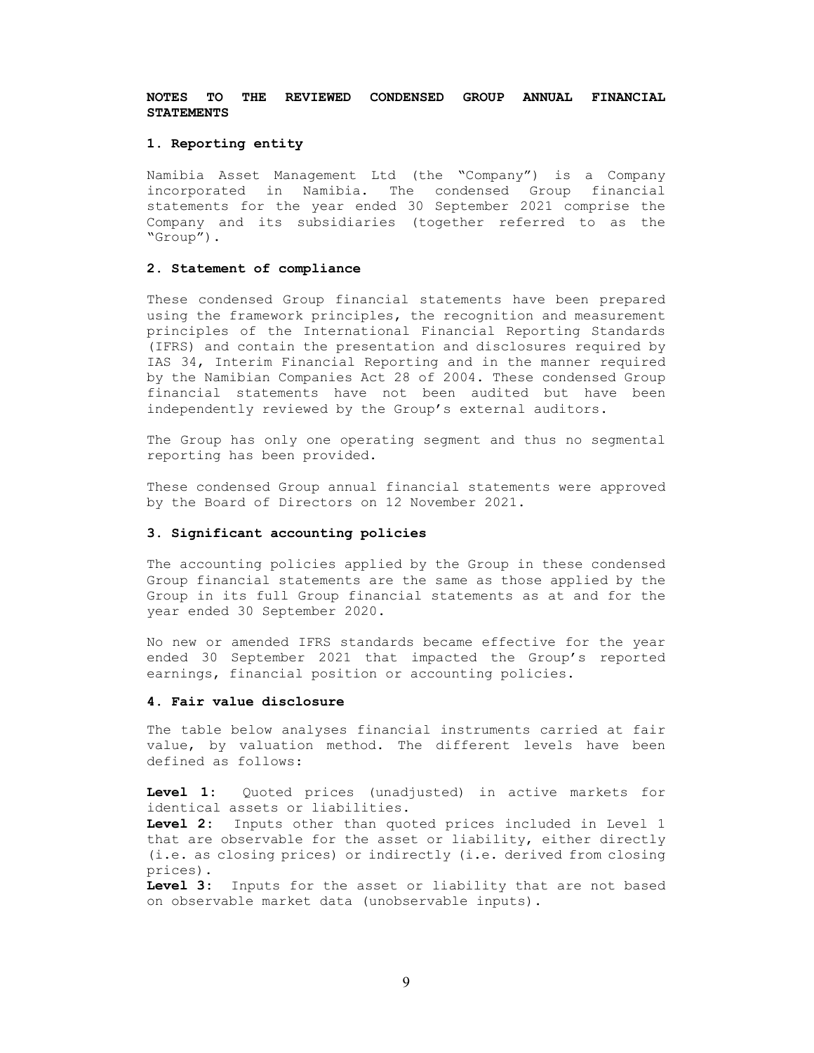#### 1. Reporting entity

Namibia Asset Management Ltd (the "Company") is a Company incorporated in Namibia. The condensed Group financial statements for the year ended 30 September 2021 comprise the Company and its subsidiaries (together referred to as the "Group").

## 2. Statement of compliance

These condensed Group financial statements have been prepared using the framework principles, the recognition and measurement principles of the International Financial Reporting Standards (IFRS) and contain the presentation and disclosures required by IAS 34, Interim Financial Reporting and in the manner required by the Namibian Companies Act 28 of 2004. These condensed Group financial statements have not been audited but have been independently reviewed by the Group's external auditors.

The Group has only one operating segment and thus no segmental reporting has been provided.

These condensed Group annual financial statements were approved by the Board of Directors on 12 November 2021.

### 3. Significant accounting policies

The accounting policies applied by the Group in these condensed Group financial statements are the same as those applied by the Group in its full Group financial statements as at and for the year ended 30 September 2020.

No new or amended IFRS standards became effective for the year ended 30 September 2021 that impacted the Group's reported earnings, financial position or accounting policies.

### 4. Fair value disclosure

The table below analyses financial instruments carried at fair value, by valuation method. The different levels have been defined as follows:

Level 1: Quoted prices (unadjusted) in active markets for identical assets or liabilities.

Level 2: Inputs other than quoted prices included in Level 1 that are observable for the asset or liability, either directly (i.e. as closing prices) or indirectly (i.e. derived from closing prices).

Level 3: Inputs for the asset or liability that are not based on observable market data (unobservable inputs).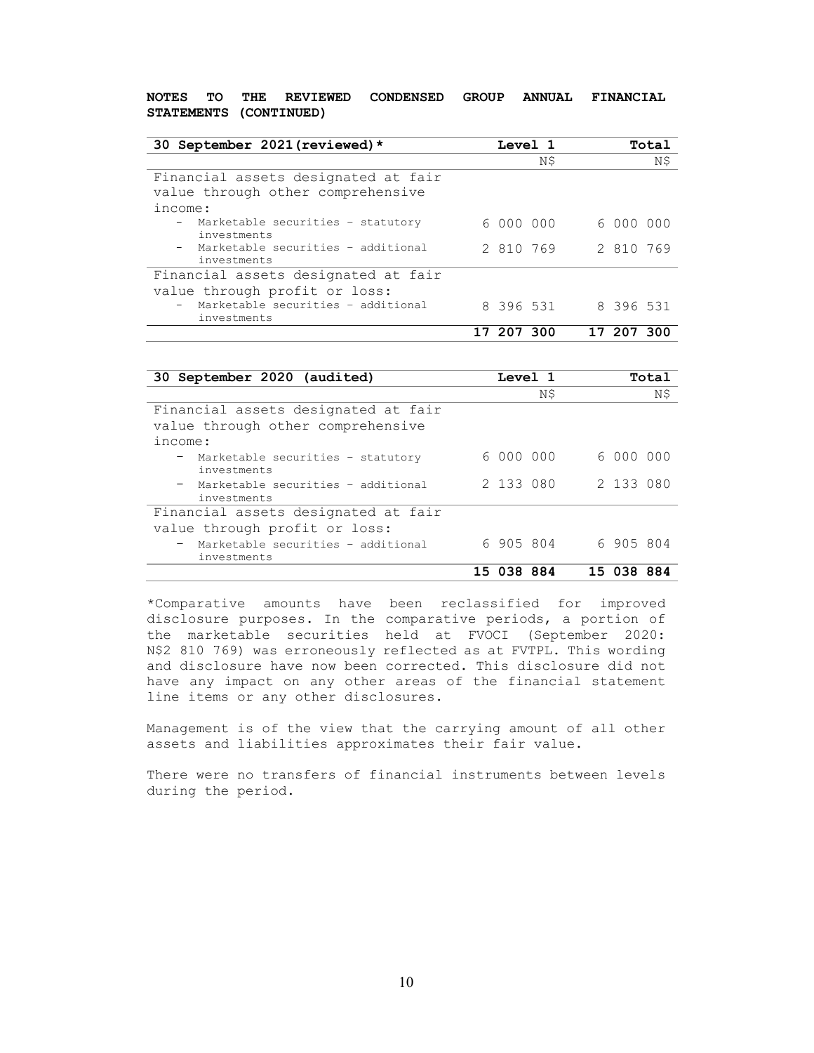| 30 September 2021 (reviewed) *                                           |           | Level 1 |           | Total |
|--------------------------------------------------------------------------|-----------|---------|-----------|-------|
|                                                                          |           | N\$     |           | N\$   |
| Financial assets designated at fair<br>value through other comprehensive |           |         |           |       |
| income:                                                                  |           |         |           |       |
| - Marketable securities - statutory<br>investments                       | 6000000   |         | 6000000   |       |
| - Marketable securities - additional<br>investments                      | 2 810 769 |         | 2 810 769 |       |
| Financial assets designated at fair                                      |           |         |           |       |
| value through profit or loss:                                            |           |         |           |       |
| - Marketable securities - additional<br>investments                      | 8 396 531 |         | 8 396 531 |       |
|                                                                          | 207300    |         | 17 207    | -300  |

| 30 September 2020 (audited)                                                         | <b>Level</b> 1 |           |           | Total |
|-------------------------------------------------------------------------------------|----------------|-----------|-----------|-------|
|                                                                                     |                | N\$       |           | N\$   |
| Financial assets designated at fair<br>value through other comprehensive<br>income: |                |           |           |       |
| - Marketable securities - statutory<br>investments                                  | 6000000        |           | 6 000 000 |       |
| - Marketable securities - additional<br>investments                                 |                | 2 133 080 | 2 133 080 |       |
| Financial assets designated at fair                                                 |                |           |           |       |
| value through profit or loss:                                                       |                |           |           |       |
| - Marketable securities - additional<br>investments                                 | 6 905 804      |           | 6 905 804 |       |
|                                                                                     | 15 038 884     |           | 15 038    | 884   |

\*Comparative amounts have been reclassified for improved disclosure purposes. In the comparative periods, a portion of the marketable securities held at FVOCI (September 2020: N\$2'810'769) was erroneously reflected as at FVTPL. This wording and disclosure have now been corrected. This disclosure did not have any impact on any other areas of the financial statement line items or any other disclosures.

Management is of the view that the carrying amount of all other assets and liabilities approximates their fair value.

There were no transfers of financial instruments between levels during the period.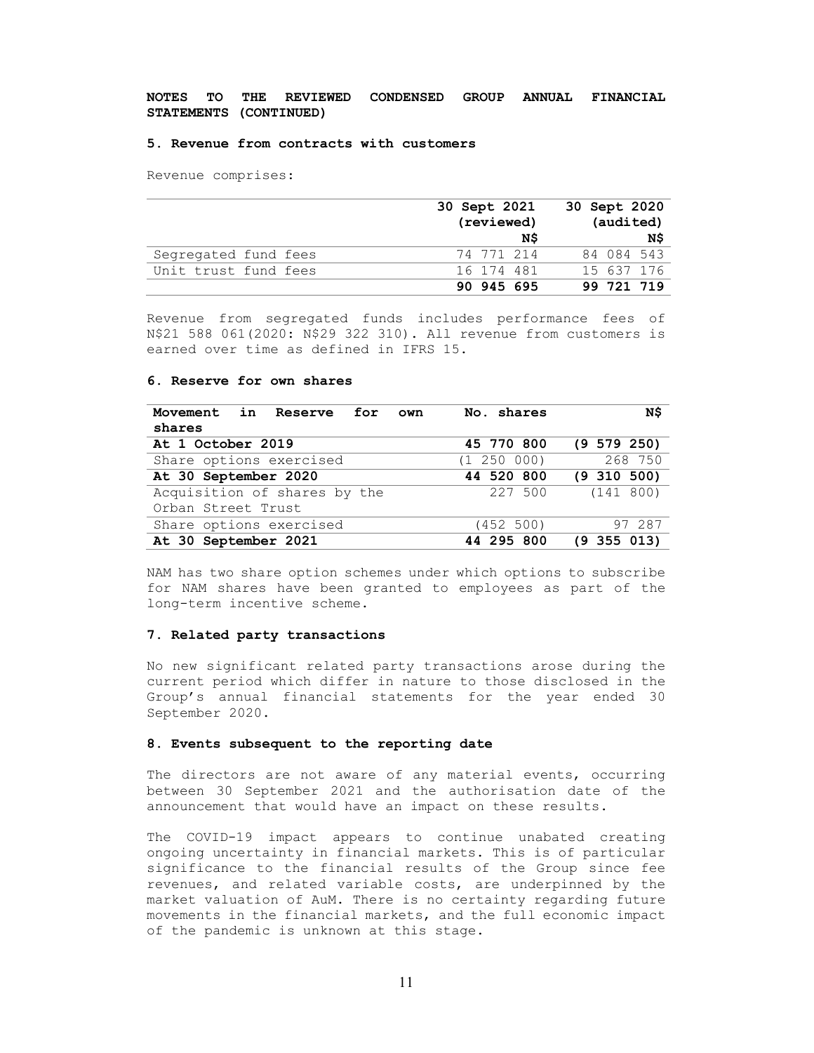#### 5. Revenue from contracts with customers

Revenue comprises:

|                      | 30 Sept 2021 | 30 Sept 2020 |
|----------------------|--------------|--------------|
|                      | (reviewed)   | (audited)    |
|                      | N\$          | N\$          |
| Segregated fund fees | 74 771 214   | 84 084 543   |
| Unit trust fund fees | 16 174 481   | 15 637 176   |
|                      | 90 945 695   | 99 721 719   |

Revenue from segregated funds includes performance fees of N\$21'588'061(2020: N\$29 322 310). All revenue from customers is earned over time as defined in IFRS 15.

# 6. Reserve for own shares

| Movement in Reserve for<br>own | No. shares  | N\$             |
|--------------------------------|-------------|-----------------|
| shares                         |             |                 |
| At 1 October 2019              | 45 770 800  | $(9\ 579\ 250)$ |
| Share options exercised        | (1 250 000) | 268 750         |
| At 30 September 2020           | 44 520 800  | $(9\;310\;500)$ |
| Acquisition of shares by the   | 227 500     | (141 800)       |
| Orban Street Trust             |             |                 |
| Share options exercised        | (452 500)   | 97 287          |
| At 30 September 2021           | 44 295 800  | $(9\;355\;013)$ |

NAM has two share option schemes under which options to subscribe for NAM shares have been granted to employees as part of the long-term incentive scheme.

### 7. Related party transactions

No new significant related party transactions arose during the current period which differ in nature to those disclosed in the Group's annual financial statements for the year ended 30 September 2020.

## 8. Events subsequent to the reporting date

The directors are not aware of any material events, occurring between 30 September 2021 and the authorisation date of the announcement that would have an impact on these results.

The COVID-19 impact appears to continue unabated creating ongoing uncertainty in financial markets. This is of particular significance to the financial results of the Group since fee revenues, and related variable costs, are underpinned by the market valuation of AuM. There is no certainty regarding future movements in the financial markets, and the full economic impact of the pandemic is unknown at this stage.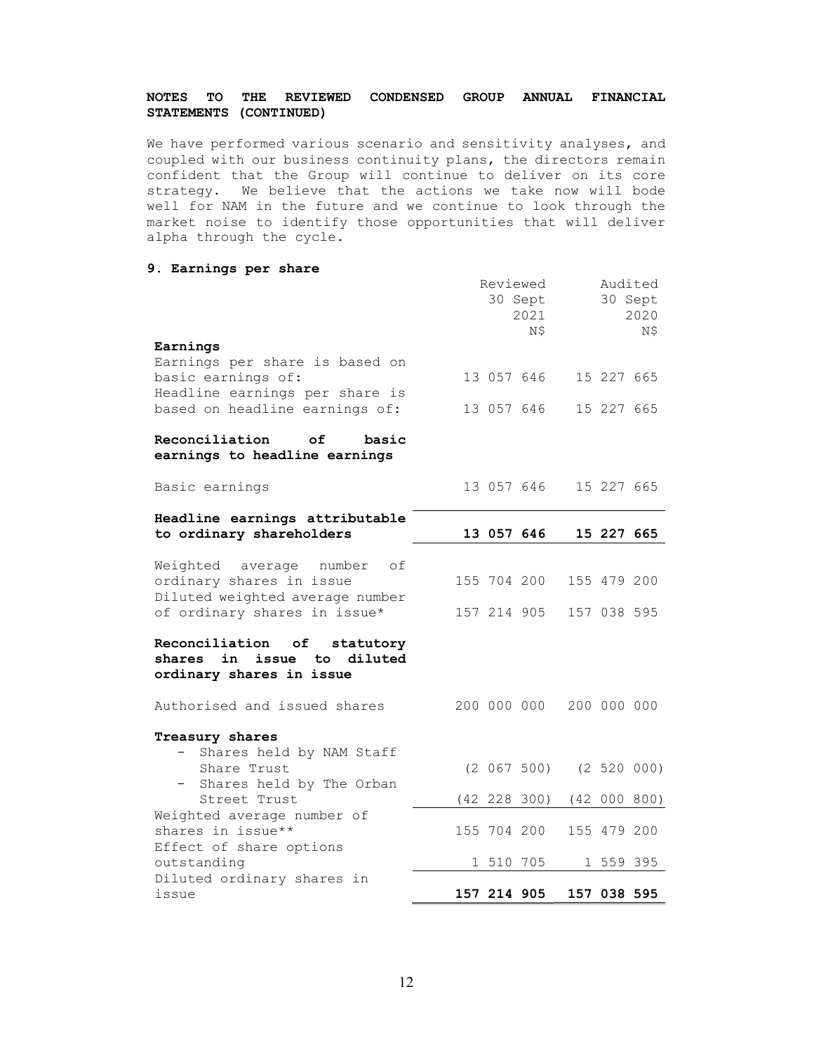We have performed various scenario and sensitivity analyses, and coupled with our business continuity plans, the directors remain confident that the Group will continue to deliver on its core strategy. We believe that the actions we take now will bode well for NAM in the future and we continue to look through the market noise to identify those opportunities that will deliver alpha through the cycle.

# 9. Earnings per share

| Earnings                                                                                     |             | Reviewed<br>30 Sept<br>2021<br>N\$ | 30 Sept     | Audited<br>2020<br>N\$ |
|----------------------------------------------------------------------------------------------|-------------|------------------------------------|-------------|------------------------|
| Earnings per share is based on                                                               |             |                                    |             |                        |
| basic earnings of:                                                                           |             | 13 057 646                         | 15 227 665  |                        |
| Headline earnings per share is<br>based on headline earnings of:                             | 13 057 646  |                                    | 15 227 665  |                        |
| Reconciliation<br>of<br>basic<br>earnings to headline earnings                               |             |                                    |             |                        |
| Basic earnings                                                                               |             | 13 057 646                         | 15 227 665  |                        |
| Headline earnings attributable                                                               |             |                                    |             |                        |
| to ordinary shareholders                                                                     |             | 13 057 646                         | 15 227 665  |                        |
| Weighted average number<br>оf<br>ordinary shares in issue<br>Diluted weighted average number |             | 155 704 200                        | 155 479 200 |                        |
| of ordinary shares in issue*                                                                 |             | 157 214 905                        | 157 038 595 |                        |
| Reconciliation of<br>statutory<br>shares in issue to diluted<br>ordinary shares in issue     |             |                                    |             |                        |
| Authorised and issued shares                                                                 |             | 200 000 000 200 000 000            |             |                        |
| Treasury shares<br>Shares held by NAM Staff                                                  |             |                                    |             |                        |
| Share Trust                                                                                  |             | $(2 067 500)$ $(2 520 000)$        |             |                        |
| - Shares held by The Orban<br>Street Trust                                                   |             | $(42 \t228 \t300)$                 |             | (42 000 800)           |
| Weighted average number of                                                                   |             |                                    |             |                        |
| shares in issue**<br>Effect of share options                                                 | 155 704 200 |                                    | 155 479 200 |                        |
| outstanding                                                                                  | 1 510 705   |                                    | 1 559 395   |                        |
| Diluted ordinary shares in                                                                   |             |                                    |             |                        |
| issue                                                                                        | 157 214 905 |                                    | 157 038 595 |                        |